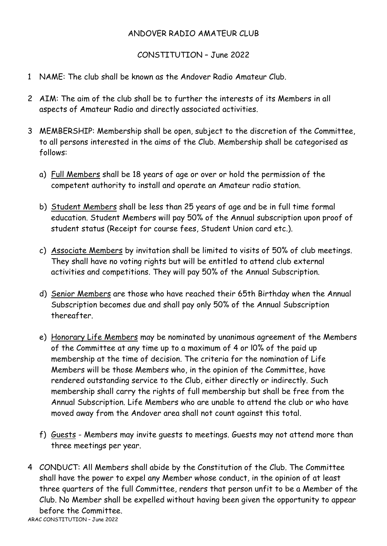## ANDOVER RADIO AMATEUR CLUB

## CONSTITUTION – June 2022

- 1 NAME: The club shall be known as the Andover Radio Amateur Club.
- 2 AIM: The aim of the club shall be to further the interests of its Members in all aspects of Amateur Radio and directly associated activities.
- 3 MEMBERSHIP: Membership shall be open, subject to the discretion of the Committee, to all persons interested in the aims of the Club. Membership shall be categorised as follows:
	- a) Full Members shall be 18 years of age or over or hold the permission of the competent authority to install and operate an Amateur radio station.
	- b) Student Members shall be less than 25 years of age and be in full time formal education. Student Members will pay 50% of the Annual subscription upon proof of student status (Receipt for course fees, Student Union card etc.).
	- c) Associate Members by invitation shall be limited to visits of 50% of club meetings. They shall have no voting rights but will be entitled to attend club external activities and competitions. They will pay 50% of the Annual Subscription.
	- d) Senior Members are those who have reached their 65th Birthday when the Annual Subscription becomes due and shall pay only 50% of the Annual Subscription thereafter.
	- e) Honorary Life Members may be nominated by unanimous agreement of the Members of the Committee at any time up to a maximum of 4 or l0% of the paid up membership at the time of decision. The criteria for the nomination of Life Members will be those Members who, in the opinion of the Committee, have rendered outstanding service to the Club, either directly or indirectly. Such membership shall carry the rights of full membership but shall be free from the Annual Subscription. Life Members who are unable to attend the club or who have moved away from the Andover area shall not count against this total.
	- f) Guests Members may invite guests to meetings. Guests may not attend more than three meetings per year.
- 4 CONDUCT: All Members shall abide by the Constitution of the Club. The Committee shall have the power to expel any Member whose conduct, in the opinion of at least three quarters of the full Committee, renders that person unfit to be a Member of the Club. No Member shall be expelled without having been given the opportunity to appear before the Committee.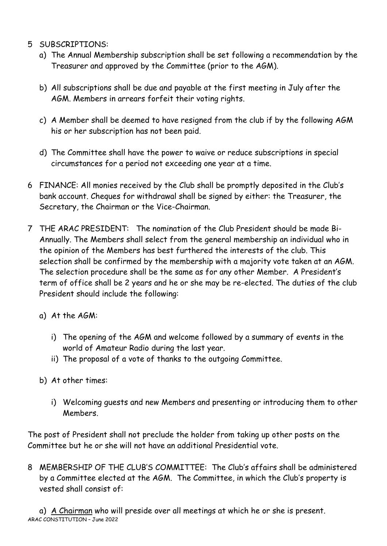- 5 SUBSCRIPTIONS:
	- a) The Annual Membership subscription shall be set following a recommendation by the Treasurer and approved by the Committee (prior to the AGM).
	- b) All subscriptions shall be due and payable at the first meeting in July after the AGM. Members in arrears forfeit their voting rights.
	- c) A Member shall be deemed to have resigned from the club if by the following AGM his or her subscription has not been paid.
	- d) The Committee shall have the power to waive or reduce subscriptions in special circumstances for a period not exceeding one year at a time.
- 6 FINANCE: All monies received by the Club shall be promptly deposited in the Club's bank account. Cheques for withdrawal shall be signed by either: the Treasurer, the Secretary, the Chairman or the Vice-Chairman.
- 7 THE ARAC PRESIDENT: The nomination of the Club President should be made Bi-Annually. The Members shall select from the general membership an individual who in the opinion of the Members has best furthered the interests of the club. This selection shall be confirmed by the membership with a majority vote taken at an AGM. The selection procedure shall be the same as for any other Member. A President's term of office shall be 2 years and he or she may be re-elected. The duties of the club President should include the following:
	- a) At the AGM:
		- i) The opening of the AGM and welcome followed by a summary of events in the world of Amateur Radio during the last year.
		- ii) The proposal of a vote of thanks to the outgoing Committee.
	- b) At other times:
		- i) Welcoming guests and new Members and presenting or introducing them to other Members.

The post of President shall not preclude the holder from taking up other posts on the Committee but he or she will not have an additional Presidential vote.

8 MEMBERSHIP OF THE CLUB'S COMMITTEE: The Club's affairs shall be administered by a Committee elected at the AGM. The Committee, in which the Club's property is vested shall consist of:

ARAC CONSTITUTION – June 2022 a) A Chairman who will preside over all meetings at which he or she is present.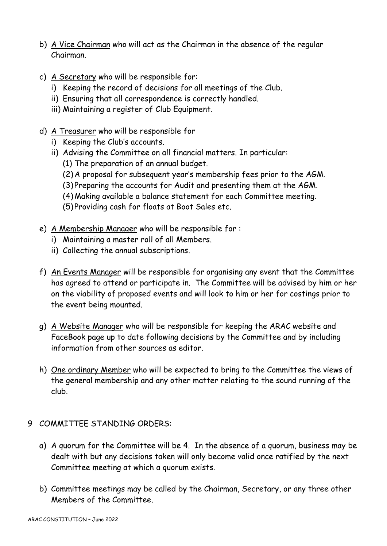- b) A Vice Chairman who will act as the Chairman in the absence of the regular Chairman.
- c) A Secretary who will be responsible for:
	- i) Keeping the record of decisions for all meetings of the Club.
	- ii) Ensuring that all correspondence is correctly handled.
	- iii) Maintaining a register of Club Equipment.
- d) A Treasurer who will be responsible for
	- i) Keeping the Club's accounts.
	- ii) Advising the Committee on all financial matters. In particular:
		- (1) The preparation of an annual budget.
		- (2) A proposal for subsequent year's membership fees prior to the AGM.
		- (3) Preparing the accounts for Audit and presenting them at the AGM.
		- (4) Making available a balance statement for each Committee meeting.
		- (5) Providing cash for floats at Boot Sales etc.
- e) A Membership Manager who will be responsible for :
	- i) Maintaining a master roll of all Members.
	- ii) Collecting the annual subscriptions.
- f) An Events Manager will be responsible for organising any event that the Committee has agreed to attend or participate in. The Committee will be advised by him or her on the viability of proposed events and will look to him or her for costings prior to the event being mounted.
- g) A Website Manager who will be responsible for keeping the ARAC website and FaceBook page up to date following decisions by the Committee and by including information from other sources as editor.
- h) One ordinary Member who will be expected to bring to the Committee the views of the general membership and any other matter relating to the sound running of the club.
- 9 COMMITTEE STANDING ORDERS:
	- a) A quorum for the Committee will be 4. In the absence of a quorum, business may be dealt with but any decisions taken will only become valid once ratified by the next Committee meeting at which a quorum exists.
	- b) Committee meetings may be called by the Chairman, Secretary, or any three other Members of the Committee.